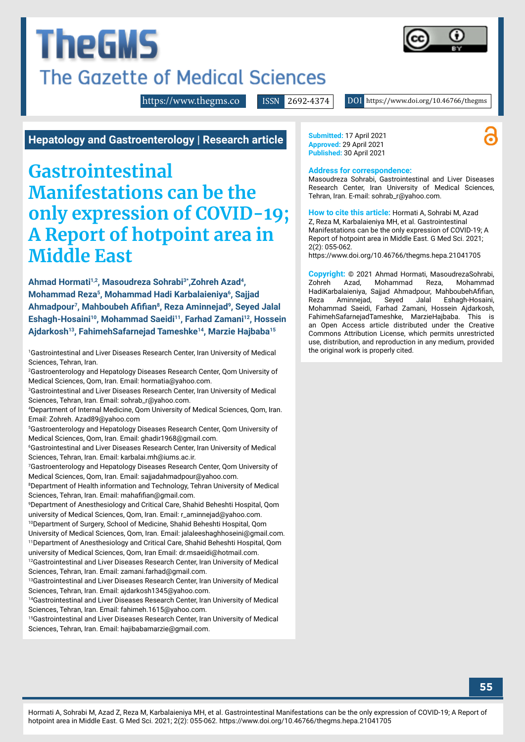# **TheGMS** The Gazette of Medical Sciences

<https://www.thegms.co>

ISSN 2692-4374 DOI https://www.doi.org/10.46766/thegms

**Hepatology and Gastroenterology | Research article**

# **Gastrointestinal Manifestations can be the only expression of COVID-19; A Report of hotpoint area in Middle East**

**Ahmad Hormati1,2, Masoudreza Sohrabi3\*,Zohreh Azad4, Mohammad Reza5, Mohammad Hadi Karbalaieniya6, Sajjad Ahmadpour7, Mahboubeh Afifian8, Reza Aminnejad9, Seyed Jalal Eshagh-Hosaini10, Mohammad Saeidi11, Farhad Zamani12, Hossein Ajdarkosh13, FahimehSafarnejad Tameshke14, Marzie Hajbaba15**

1 Gastrointestinal and Liver Diseases Research Center, Iran University of Medical Sciences, Tehran, Iran.

2 Gastroenterology and Hepatology Diseases Research Center, Qom University of Medical Sciences, Qom, Iran. Email: hormatia@yahoo.com.

3 Gastrointestinal and Liver Diseases Research Center, Iran University of Medical Sciences, Tehran, Iran. Email: sohrab\_r@yahoo.com.

4 Department of Internal Medicine, Qom University of Medical Sciences, Qom, Iran. Email: Zohreh. Azad89@yahoo.com

5 Gastroenterology and Hepatology Diseases Research Center, Qom University of Medical Sciences, Qom, Iran. Email: ghadir1968@gmail.com.

6 Gastrointestinal and Liver Diseases Research Center, Iran University of Medical Sciences, Tehran, Iran. Email: karbalai.mh@iums.ac.ir.

7 Gastroenterology and Hepatology Diseases Research Center, Qom University of Medical Sciences, Qom, Iran. Email: sajjadahmadpour@yahoo.com.

<sup>8</sup>Department of Health information and Technology, Tehran University of Medical Sciences, Tehran, Iran. Email: mahafifian@gmail.com.

9 Department of Anesthesiology and Critical Care, Shahid Beheshti Hospital, Qom university of Medical Sciences, Qom, Iran. Email: r\_aminnejad@yahoo.com.

10Department of Surgery, School of Medicine, Shahid Beheshti Hospital, Qom University of Medical Sciences, Qom, Iran. Email: jalaleeshaghhoseini@gmail.com. 11Department of Anesthesiology and Critical Care, Shahid Beheshti Hospital, Qom university of Medical Sciences, Qom, Iran Email: dr.msaeidi@hotmail.com.

<sup>12</sup>Gastrointestinal and Liver Diseases Research Center, Iran University of Medical Sciences, Tehran, Iran. Email: zamani.farhad@gmail.com.

13Gastrointestinal and Liver Diseases Research Center, Iran University of Medical Sciences, Tehran, Iran. Email: ajdarkosh1345@yahoo.com.

<sup>14</sup>Gastrointestinal and Liver Diseases Research Center, Iran University of Medical Sciences, Tehran, Iran. Email: fahimeh.1615@yahoo.com.

15Gastrointestinal and Liver Diseases Research Center, Iran University of Medical Sciences, Tehran, Iran. Email: hajibabamarzie@gmail.com.

**Submitted:** 17 April 2021 **Approved:** 29 April 2021 **Published:** 30 April 2021

#### **Address for correspondence:**

Masoudreza Sohrabi, Gastrointestinal and Liver Diseases Research Center, Iran University of Medical Sciences, Tehran, Iran. E-mail: sohrab\_r@yahoo.com.

**How to cite this article:** Hormati A, Sohrabi M, Azad Z, Reza M, Karbalaieniya MH, et al. Gastrointestinal Manifestations can be the only expression of COVID-19; A Report of hotpoint area in Middle East. G Med Sci. 2021; 2(2): 055-062.

<https://www.doi.org/10.46766/thegms.hepa.21041705>

**Copyright:** © 2021 Ahmad Hormati, MasoudrezaSohrabi, Zohreh Azad, Mohammad Reza, Mohammad HadiKarbalaieniya, Sajjad Ahmadpour, MahboubehAfifian, Reza Aminnejad, Seyed Jalal Eshagh-Hosaini, Mohammad Saeidi, Farhad Zamani, Hossein Ajdarkosh, FahimehSafarnejadTameshke, MarzieHajbaba. This is an Open Access article distributed under the Creative Commons Attribution License, which permits unrestricted use, distribution, and reproduction in any medium, provided the original work is properly cited.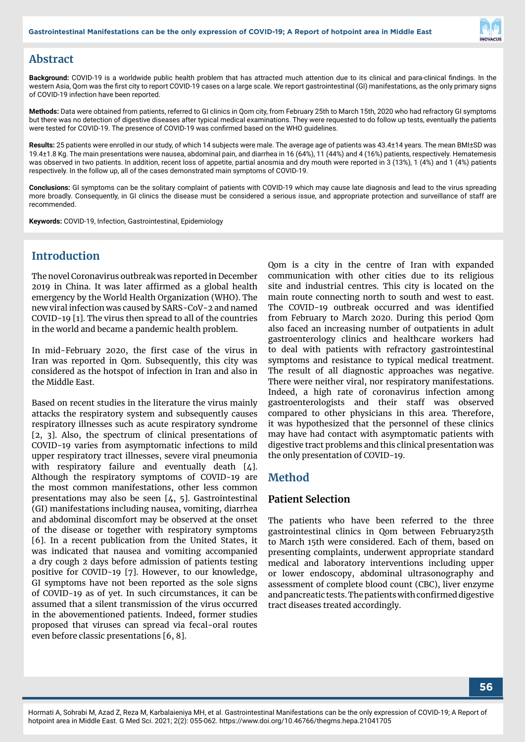

#### **Abstract**

**Background:** COVID-19 is a worldwide public health problem that has attracted much attention due to its clinical and para-clinical findings. In the western Asia, Qom was the first city to report COVID-19 cases on a large scale. We report gastrointestinal (GI) manifestations, as the only primary signs of COVID-19 infection have been reported.

**Methods:** Data were obtained from patients, referred to GI clinics in Qom city, from February 25th to March 15th, 2020 who had refractory GI symptoms but there was no detection of digestive diseases after typical medical examinations. They were requested to do follow up tests, eventually the patients were tested for COVID-19. The presence of COVID-19 was confirmed based on the WHO guidelines.

**Results:** 25 patients were enrolled in our study, of which 14 subjects were male. The average age of patients was 43.4±14 years. The mean BMI±SD was 19.4±1.8 Kg. The main presentations were nausea, abdominal pain, and diarrhea in 16 (64%), 11 (44%) and 4 (16%) patients, respectively. Hematemesis was observed in two patients. In addition, recent loss of appetite, partial anosmia and dry mouth were reported in 3 (13%), 1 (4%) and 1 (4%) patients respectively. In the follow up, all of the cases demonstrated main symptoms of COVID-19.

**Conclusions:** GI symptoms can be the solitary complaint of patients with COVID-19 which may cause late diagnosis and lead to the virus spreading more broadly. Consequently, in GI clinics the disease must be considered a serious issue, and appropriate protection and surveillance of staff are recommended.

**Keywords:** COVID-19, Infection, Gastrointestinal, Epidemiology

# **Introduction**

The novel Coronavirus outbreak was reported in December 2019 in China. It was later affirmed as a global health emergency by the World Health Organization (WHO). The new viral infection was caused by SARS-CoV-2 and named COVID-19 [1]. The virus then spread to all of the countries in the world and became a pandemic health problem.

In mid-February 2020, the first case of the virus in Iran was reported in Qom. Subsequently, this city was considered as the hotspot of infection in Iran and also in the Middle East.

Based on recent studies in the literature the virus mainly attacks the respiratory system and subsequently causes respiratory illnesses such as acute respiratory syndrome [2, 3]. Also, the spectrum of clinical presentations of COVID-19 varies from asymptomatic infections to mild upper respiratory tract illnesses, severe viral pneumonia with respiratory failure and eventually death [4]. Although the respiratory symptoms of COVID-19 are the most common manifestations, other less common presentations may also be seen [4, 5]. Gastrointestinal (GI) manifestations including nausea, vomiting, diarrhea and abdominal discomfort may be observed at the onset of the disease or together with respiratory symptoms [6]. In a recent publication from the United States, it was indicated that nausea and vomiting accompanied a dry cough 2 days before admission of patients testing positive for COVID-19 [7]. However, to our knowledge, GI symptoms have not been reported as the sole signs of COVID-19 as of yet. In such circumstances, it can be assumed that a silent transmission of the virus occurred in the abovementioned patients. Indeed, former studies proposed that viruses can spread via fecal-oral routes even before classic presentations [6, 8].

Qom is a city in the centre of Iran with expanded communication with other cities due to its religious site and industrial centres. This city is located on the main route connecting north to south and west to east. The COVID-19 outbreak occurred and was identified from February to March 2020. During this period Qom also faced an increasing number of outpatients in adult gastroenterology clinics and healthcare workers had to deal with patients with refractory gastrointestinal symptoms and resistance to typical medical treatment. The result of all diagnostic approaches was negative. There were neither viral, nor respiratory manifestations. Indeed, a high rate of coronavirus infection among gastroenterologists and their staff was observed compared to other physicians in this area. Therefore, it was hypothesized that the personnel of these clinics may have had contact with asymptomatic patients with digestive tract problems and this clinical presentation was the only presentation of COVID-19.

#### **Method**

#### **Patient Selection**

The patients who have been referred to the three gastrointestinal clinics in Qom between February25th to March 15th were considered. Each of them, based on presenting complaints, underwent appropriate standard medical and laboratory interventions including upper or lower endoscopy, abdominal ultrasonography and assessment of complete blood count (CBC), liver enzyme and pancreatic tests. The patients with confirmed digestive tract diseases treated accordingly.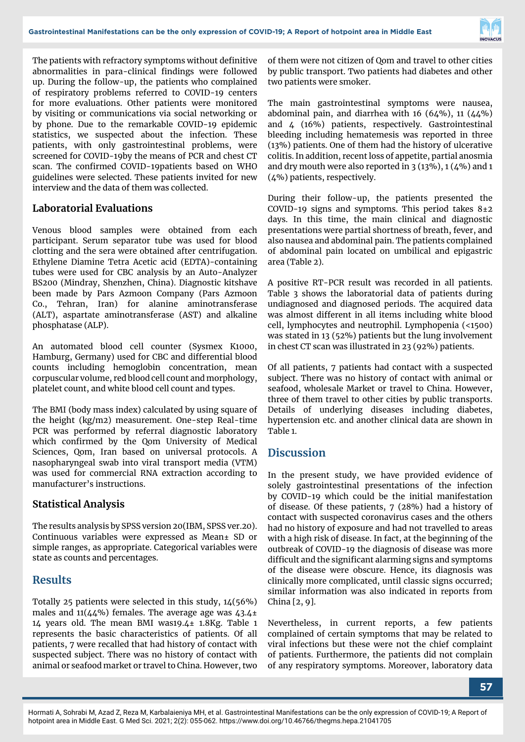

The patients with refractory symptoms without definitive abnormalities in para-clinical findings were followed up. During the follow-up, the patients who complained of respiratory problems referred to COVID-19 centers for more evaluations. Other patients were monitored by visiting or communications via social networking or by phone. Due to the remarkable COVID-19 epidemic statistics, we suspected about the infection. These patients, with only gastrointestinal problems, were screened for COVID-19by the means of PCR and chest CT scan. The confirmed COVID-19patients based on WHO guidelines were selected. These patients invited for new interview and the data of them was collected.

#### **Laboratorial Evaluations**

Venous blood samples were obtained from each participant. Serum separator tube was used for blood clotting and the sera were obtained after centrifugation. Ethylene Diamine Tetra Acetic acid (EDTA)-containing tubes were used for CBC analysis by an Auto-Analyzer BS200 (Mindray, Shenzhen, China). Diagnostic kitshave been made by Pars Azmoon Company (Pars Azmoon Co., Tehran, Iran) for alanine aminotransferase (ALT), aspartate aminotransferase (AST) and alkaline phosphatase (ALP).

An automated blood cell counter (Sysmex K1000, Hamburg, Germany) used for CBC and differential blood counts including hemoglobin concentration, mean corpuscular volume, red blood cell count and morphology, platelet count, and white blood cell count and types.

The BMI (body mass index) calculated by using square of the height (kg/m2) measurement. One-step Real-time PCR was performed by referral diagnostic laboratory which confirmed by the Qom University of Medical Sciences, Qom, Iran based on universal protocols. A nasopharyngeal swab into viral transport media (VTM) was used for commercial RNA extraction according to manufacturer's instructions.

#### **Statistical Analysis**

The results analysis by SPSS version 20(IBM, SPSS ver.20). Continuous variables were expressed as Mean± SD or simple ranges, as appropriate. Categorical variables were state as counts and percentages.

#### **Results**

Totally 25 patients were selected in this study, 14(56%) males and  $11(44%)$  females. The average age was  $43.4\pm$ 14 years old. The mean BMI was19.4± 1.8Kg. Table 1 represents the basic characteristics of patients. Of all patients, 7 were recalled that had history of contact with suspected subject. There was no history of contact with animal or seafood market or travel to China. However, two of them were not citizen of Qom and travel to other cities by public transport. Two patients had diabetes and other two patients were smoker.

The main gastrointestinal symptoms were nausea, abdominal pain, and diarrhea with  $16$  (64%),  $11$  (44%) and 4 (16%) patients, respectively. Gastrointestinal bleeding including hematemesis was reported in three (13%) patients. One of them had the history of ulcerative colitis. In addition, recent loss of appetite, partial anosmia and dry mouth were also reported in  $3(13\%)$ ,  $1(4\%)$  and  $1$ (4%) patients, respectively.

During their follow-up, the patients presented the COVID-19 signs and symptoms. This period takes  $8\pm 2$ days. In this time, the main clinical and diagnostic presentations were partial shortness of breath, fever, and also nausea and abdominal pain. The patients complained of abdominal pain located on umbilical and epigastric area (Table 2).

A positive RT-PCR result was recorded in all patients. Table 3 shows the laboratorial data of patients during undiagnosed and diagnosed periods. The acquired data was almost different in all items including white blood cell, lymphocytes and neutrophil. Lymphopenia (<1500) was stated in 13 (52%) patients but the lung involvement in chest CT scan was illustrated in 23 (92%) patients.

Of all patients, 7 patients had contact with a suspected subject. There was no history of contact with animal or seafood, wholesale Market or travel to China. However, three of them travel to other cities by public transports. Details of underlying diseases including diabetes, hypertension etc. and another clinical data are shown in Table 1.

# **Discussion**

In the present study, we have provided evidence of solely gastrointestinal presentations of the infection by COVID-19 which could be the initial manifestation of disease. Of these patients, 7 (28%) had a history of contact with suspected coronavirus cases and the others had no history of exposure and had not travelled to areas with a high risk of disease. In fact, at the beginning of the outbreak of COVID-19 the diagnosis of disease was more difficult and the significant alarming signs and symptoms of the disease were obscure. Hence, its diagnosis was clinically more complicated, until classic signs occurred; similar information was also indicated in reports from China [2, 9].

Nevertheless, in current reports, a few patients complained of certain symptoms that may be related to viral infections but these were not the chief complaint of patients. Furthermore, the patients did not complain of any respiratory symptoms. Moreover, laboratory data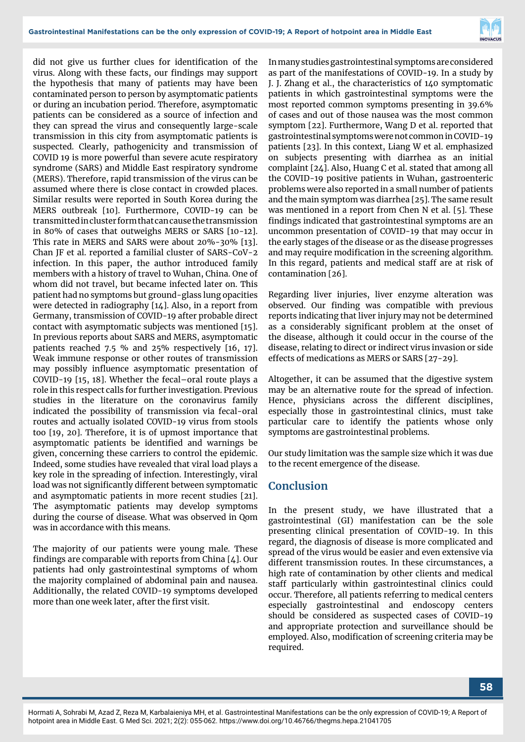

did not give us further clues for identification of the virus. Along with these facts, our findings may support the hypothesis that many of patients may have been contaminated person to person by asymptomatic patients or during an incubation period. Therefore, asymptomatic patients can be considered as a source of infection and they can spread the virus and consequently large-scale transmission in this city from asymptomatic patients is suspected. Clearly, pathogenicity and transmission of COVID 19 is more powerful than severe acute respiratory syndrome (SARS) and Middle East respiratory syndrome (MERS). Therefore, rapid transmission of the virus can be assumed where there is close contact in crowded places. Similar results were reported in South Korea during the MERS outbreak [10]. Furthermore, COVID-19 can be transmitted in cluster form that can cause the transmission in 80% of cases that outweighs MERS or SARS [10-12]. This rate in MERS and SARS were about 20%-30% [13]. Chan JF et al. reported a familial cluster of SARS-CoV-2 infection. In this paper, the author introduced family members with a history of travel to Wuhan, China. One of whom did not travel, but became infected later on. This patient had no symptoms but ground-glass lung opacities were detected in radiography [14]. Also, in a report from Germany, transmission of COVID-19 after probable direct contact with asymptomatic subjects was mentioned [15]. In previous reports about SARS and MERS, asymptomatic patients reached 7.5 % and 25% respectively [16, 17]. Weak immune response or other routes of transmission may possibly influence asymptomatic presentation of COVID-19 [15, 18]. Whether the fecal–oral route plays a role in this respect calls for further investigation. Previous studies in the literature on the coronavirus family indicated the possibility of transmission via fecal-oral routes and actually isolated COVID-19 virus from stools too [19, 20]. Therefore, it is of upmost importance that asymptomatic patients be identified and warnings be given, concerning these carriers to control the epidemic. Indeed, some studies have revealed that viral load plays a key role in the spreading of infection. Interestingly, viral load was not significantly different between symptomatic and asymptomatic patients in more recent studies [21]. The asymptomatic patients may develop symptoms during the course of disease. What was observed in Qom was in accordance with this means.

The majority of our patients were young male. These findings are comparable with reports from China [4]. Our patients had only gastrointestinal symptoms of whom the majority complained of abdominal pain and nausea. Additionally, the related COVID-19 symptoms developed more than one week later, after the first visit.

In many studies gastrointestinal symptoms are considered as part of the manifestations of COVID-19. In a study by J. J. Zhang et al., the characteristics of 140 symptomatic patients in which gastrointestinal symptoms were the most reported common symptoms presenting in 39.6% of cases and out of those nausea was the most common symptom [22]. Furthermore, Wang D et al. reported that gastrointestinal symptoms were not common in COVID-19 patients [23]. In this context, Liang W et al. emphasized on subjects presenting with diarrhea as an initial complaint [24]. Also, Huang C et al. stated that among all the COVID-19 positive patients in Wuhan, gastroenteric problems were also reported in a small number of patients and the main symptom was diarrhea [25]. The same result was mentioned in a report from Chen N et al. [5]. These findings indicated that gastrointestinal symptoms are an uncommon presentation of COVID-19 that may occur in the early stages of the disease or as the disease progresses and may require modification in the screening algorithm. In this regard, patients and medical staff are at risk of contamination [26].

Regarding liver injuries, liver enzyme alteration was observed. Our finding was compatible with previous reports indicating that liver injury may not be determined as a considerably significant problem at the onset of the disease, although it could occur in the course of the disease, relating to direct or indirect virus invasion or side effects of medications as MERS or SARS [27-29].

Altogether, it can be assumed that the digestive system may be an alternative route for the spread of infection. Hence, physicians across the different disciplines, especially those in gastrointestinal clinics, must take particular care to identify the patients whose only symptoms are gastrointestinal problems.

Our study limitation was the sample size which it was due to the recent emergence of the disease.

# **Conclusion**

In the present study, we have illustrated that a gastrointestinal (GI) manifestation can be the sole presenting clinical presentation of COVID-19. In this regard, the diagnosis of disease is more complicated and spread of the virus would be easier and even extensive via different transmission routes. In these circumstances, a high rate of contamination by other clients and medical staff particularly within gastrointestinal clinics could occur. Therefore, all patients referring to medical centers especially gastrointestinal and endoscopy centers should be considered as suspected cases of COVID-19 and appropriate protection and surveillance should be employed. Also, modification of screening criteria may be required.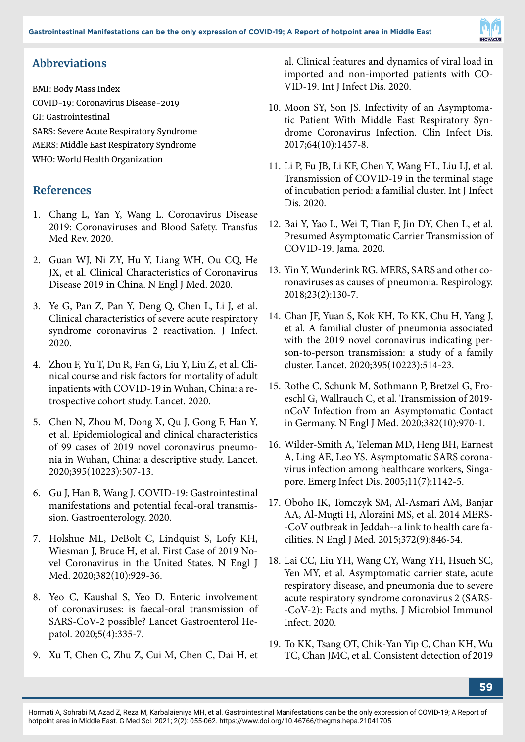

# **Abbreviations**

BMI: Body Mass Index COVID-19: Coronavirus Disease-2019 GI: Gastrointestinal SARS: Severe Acute Respiratory Syndrome MERS: Middle East Respiratory Syndrome WHO: World Health Organization

# **References**

- 1. Chang L, Yan Y, Wang L. Coronavirus Disease 2019: Coronaviruses and Blood Safety. Transfus Med Rev. 2020.
- 2. Guan WJ, Ni ZY, Hu Y, Liang WH, Ou CQ, He JX, et al. Clinical Characteristics of Coronavirus Disease 2019 in China. N Engl J Med. 2020.
- 3. Ye G, Pan Z, Pan Y, Deng Q, Chen L, Li J, et al. Clinical characteristics of severe acute respiratory syndrome coronavirus 2 reactivation. J Infect. 2020.
- 4. Zhou F, Yu T, Du R, Fan G, Liu Y, Liu Z, et al. Clinical course and risk factors for mortality of adult inpatients with COVID-19 in Wuhan, China: a retrospective cohort study. Lancet. 2020.
- 5. Chen N, Zhou M, Dong X, Qu J, Gong F, Han Y, et al. Epidemiological and clinical characteristics of 99 cases of 2019 novel coronavirus pneumonia in Wuhan, China: a descriptive study. Lancet. 2020;395(10223):507-13.
- 6. Gu J, Han B, Wang J. COVID-19: Gastrointestinal manifestations and potential fecal-oral transmission. Gastroenterology. 2020.
- 7. Holshue ML, DeBolt C, Lindquist S, Lofy KH, Wiesman J, Bruce H, et al. First Case of 2019 Novel Coronavirus in the United States. N Engl J Med. 2020;382(10):929-36.
- 8. Yeo C, Kaushal S, Yeo D. Enteric involvement of coronaviruses: is faecal-oral transmission of SARS-CoV-2 possible? Lancet Gastroenterol Hepatol. 2020;5(4):335-7.
- 9. Xu T, Chen C, Zhu Z, Cui M, Chen C, Dai H, et

al. Clinical features and dynamics of viral load in imported and non-imported patients with CO-VID-19. Int J Infect Dis. 2020.

- 10. Moon SY, Son JS. Infectivity of an Asymptomatic Patient With Middle East Respiratory Syndrome Coronavirus Infection. Clin Infect Dis. 2017;64(10):1457-8.
- 11. Li P, Fu JB, Li KF, Chen Y, Wang HL, Liu LJ, et al. Transmission of COVID-19 in the terminal stage of incubation period: a familial cluster. Int J Infect Dis. 2020.
- 12. Bai Y, Yao L, Wei T, Tian F, Jin DY, Chen L, et al. Presumed Asymptomatic Carrier Transmission of COVID-19. Jama. 2020.
- 13. Yin Y, Wunderink RG. MERS, SARS and other coronaviruses as causes of pneumonia. Respirology. 2018;23(2):130-7.
- 14. Chan JF, Yuan S, Kok KH, To KK, Chu H, Yang J, et al. A familial cluster of pneumonia associated with the 2019 novel coronavirus indicating person-to-person transmission: a study of a family cluster. Lancet. 2020;395(10223):514-23.
- 15. Rothe C, Schunk M, Sothmann P, Bretzel G, Froeschl G, Wallrauch C, et al. Transmission of 2019 nCoV Infection from an Asymptomatic Contact in Germany. N Engl J Med. 2020;382(10):970-1.
- 16. Wilder-Smith A, Teleman MD, Heng BH, Earnest A, Ling AE, Leo YS. Asymptomatic SARS coronavirus infection among healthcare workers, Singapore. Emerg Infect Dis. 2005;11(7):1142-5.
- 17. Oboho IK, Tomczyk SM, Al-Asmari AM, Banjar AA, Al-Mugti H, Aloraini MS, et al. 2014 MERS- -CoV outbreak in Jeddah--a link to health care facilities. N Engl J Med. 2015;372(9):846-54.
- 18. Lai CC, Liu YH, Wang CY, Wang YH, Hsueh SC, Yen MY, et al. Asymptomatic carrier state, acute respiratory disease, and pneumonia due to severe acute respiratory syndrome coronavirus 2 (SARS- -CoV-2): Facts and myths. J Microbiol Immunol Infect. 2020.
- 19. To KK, Tsang OT, Chik-Yan Yip C, Chan KH, Wu TC, Chan JMC, et al. Consistent detection of 2019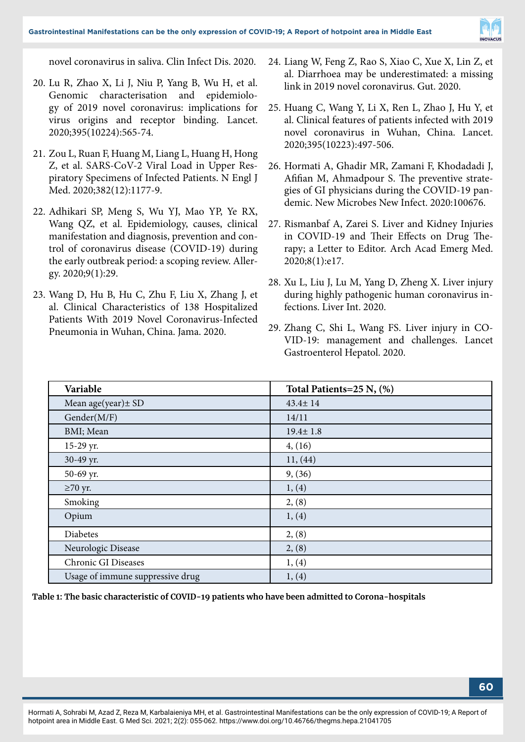

novel coronavirus in saliva. Clin Infect Dis. 2020.

- 20. Lu R, Zhao X, Li J, Niu P, Yang B, Wu H, et al. Genomic characterisation and epidemiology of 2019 novel coronavirus: implications for virus origins and receptor binding. Lancet. 2020;395(10224):565-74.
- 21. Zou L, Ruan F, Huang M, Liang L, Huang H, Hong Z, et al. SARS-CoV-2 Viral Load in Upper Respiratory Specimens of Infected Patients. N Engl J Med. 2020;382(12):1177-9.
- 22. Adhikari SP, Meng S, Wu YJ, Mao YP, Ye RX, Wang QZ, et al. Epidemiology, causes, clinical manifestation and diagnosis, prevention and control of coronavirus disease (COVID-19) during the early outbreak period: a scoping review. Allergy. 2020;9(1):29.
- 23. Wang D, Hu B, Hu C, Zhu F, Liu X, Zhang J, et al. Clinical Characteristics of 138 Hospitalized Patients With 2019 Novel Coronavirus-Infected Pneumonia in Wuhan, China. Jama. 2020.
- 24. Liang W, Feng Z, Rao S, Xiao C, Xue X, Lin Z, et al. Diarrhoea may be underestimated: a missing link in 2019 novel coronavirus. Gut. 2020.
- 25. Huang C, Wang Y, Li X, Ren L, Zhao J, Hu Y, et al. Clinical features of patients infected with 2019 novel coronavirus in Wuhan, China. Lancet. 2020;395(10223):497-506.
- 26. Hormati A, Ghadir MR, Zamani F, Khodadadi J, Afifian M, Ahmadpour S. The preventive strategies of GI physicians during the COVID-19 pandemic. New Microbes New Infect. 2020:100676.
- 27. Rismanbaf A, Zarei S. Liver and Kidney Injuries in COVID-19 and Their Effects on Drug Therapy; a Letter to Editor. Arch Acad Emerg Med. 2020;8(1):e17.
- 28. Xu L, Liu J, Lu M, Yang D, Zheng X. Liver injury during highly pathogenic human coronavirus infections. Liver Int. 2020.
- 29. Zhang C, Shi L, Wang FS. Liver injury in CO-VID-19: management and challenges. Lancet Gastroenterol Hepatol. 2020.

| Variable                         | Total Patients=25 N, (%) |
|----------------------------------|--------------------------|
| Mean age(year) $\pm$ SD          | $43.4 \pm 14$            |
| Gender(M/F)                      | 14/11                    |
| BMI; Mean                        | $19.4 \pm 1.8$           |
| 15-29 yr.                        | 4, (16)                  |
| 30-49 yr.                        | 11, (44)                 |
| 50-69 yr.                        | 9, (36)                  |
| $\geq 70$ yr.                    | 1, (4)                   |
| Smoking                          | 2, (8)                   |
| Opium                            | 1, (4)                   |
| Diabetes                         | 2, (8)                   |
| Neurologic Disease               | 2, (8)                   |
| Chronic GI Diseases              | 1, (4)                   |
| Usage of immune suppressive drug | 1, (4)                   |

**Table 1: The basic characteristic of COVID-19 patients who have been admitted to Corona-hospitals**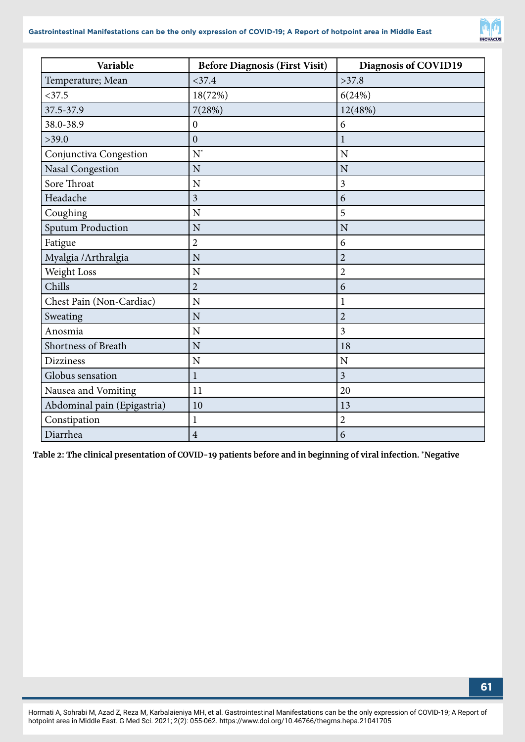

| Variable                    | <b>Before Diagnosis (First Visit)</b> | Diagnosis of COVID19 |
|-----------------------------|---------------------------------------|----------------------|
| Temperature; Mean           | $<$ 37.4                              | >37.8                |
| $<$ 37.5                    | 18(72%)                               | 6(24%)               |
| 37.5-37.9                   | 7(28%)                                | 12(48%)              |
| 38.0-38.9                   | $\mathbf{0}$                          | 6                    |
| >39.0                       | $\mathbf{0}$                          | $\mathbf{1}$         |
| Conjunctiva Congestion      | $N^*$                                 | N                    |
| <b>Nasal Congestion</b>     | N                                     | N                    |
| Sore Throat                 | N                                     | 3                    |
| Headache                    | 3                                     | 6                    |
| Coughing                    | $\mathbf N$                           | 5                    |
| <b>Sputum Production</b>    | N                                     | N                    |
| Fatigue                     | $\overline{2}$                        | 6                    |
| Myalgia / Arthralgia        | N                                     | $\overline{2}$       |
| Weight Loss                 | N                                     | $\overline{2}$       |
| Chills                      | $\overline{2}$                        | 6                    |
| Chest Pain (Non-Cardiac)    | N                                     | $\mathbf{1}$         |
| Sweating                    | N                                     | $\overline{2}$       |
| Anosmia                     | N                                     | 3                    |
| Shortness of Breath         | N                                     | 18                   |
| <b>Dizziness</b>            | N                                     | $\overline{N}$       |
| Globus sensation            | $\mathbf{1}$                          | $\overline{3}$       |
| Nausea and Vomiting         | 11                                    | 20                   |
| Abdominal pain (Epigastria) | 10                                    | 13                   |
| Constipation                | $\mathbf 1$                           | $\overline{2}$       |
| Diarrhea                    | $\overline{4}$                        | 6                    |

**Table 2: The clinical presentation of COVID-19 patients before and in beginning of viral infection. \*Negative**